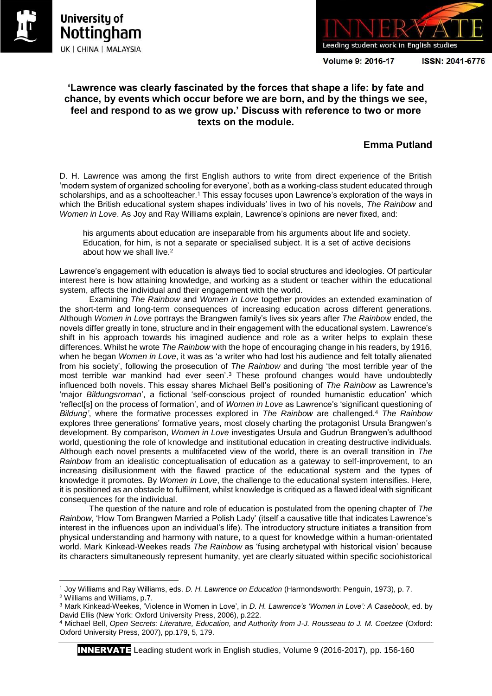



**Volume 9: 2016-17** 

ISSN: 2041-6776

## **'Lawrence was clearly fascinated by the forces that shape a life: by fate and chance, by events which occur before we are born, and by the things we see, feel and respond to as we grow up.' Discuss with reference to two or more texts on the module.**

# **Emma Putland**

D. H. Lawrence was among the first English authors to write from direct experience of the British 'modern system of organized schooling for everyone', both as a working-class student educated through scholarships, and as a schoolteacher.<sup>1</sup> This essay focuses upon Lawrence's exploration of the ways in which the British educational system shapes individuals' lives in two of his novels, *The Rainbow* and *Women in Love*. As Joy and Ray Williams explain, Lawrence's opinions are never fixed, and:

his arguments about education are inseparable from his arguments about life and society. Education, for him, is not a separate or specialised subject. It is a set of active decisions about how we shall live.<sup>2</sup>

Lawrence's engagement with education is always tied to social structures and ideologies. Of particular interest here is how attaining knowledge, and working as a student or teacher within the educational system, affects the individual and their engagement with the world.

Examining *The Rainbow* and *Women in Love* together provides an extended examination of the short-term and long-term consequences of increasing education across different generations. Although *Women in Love* portrays the Brangwen family's lives six years after *The Rainbow* ended, the novels differ greatly in tone, structure and in their engagement with the educational system. Lawrence's shift in his approach towards his imagined audience and role as a writer helps to explain these differences. Whilst he wrote *The Rainbow* with the hope of encouraging change in his readers, by 1916, when he began *Women in Love*, it was as 'a writer who had lost his audience and felt totally alienated from his society', following the prosecution of *The Rainbow* and during 'the most terrible year of the most terrible war mankind had ever seen'.<sup>3</sup> These profound changes would have undoubtedly influenced both novels. This essay shares Michael Bell's positioning of *The Rainbow* as Lawrence's 'major *Bildungsroman*', a fictional 'self-conscious project of rounded humanistic education' which 'reflect[s] on the process of formation', and of *Women in Love* as Lawrence's 'significant questioning of *Bildung'*, where the formative processes explored in *The Rainbow* are challenged.<sup>4</sup> *The Rainbow* explores three generations' formative years, most closely charting the protagonist Ursula Brangwen's development. By comparison, *Women in Love* investigates Ursula and Gudrun Brangwen's adulthood world, questioning the role of knowledge and institutional education in creating destructive individuals. Although each novel presents a multifaceted view of the world, there is an overall transition in *The Rainbow* from an idealistic conceptualisation of education as a gateway to self-improvement, to an increasing disillusionment with the flawed practice of the educational system and the types of knowledge it promotes. By *Women in Love*, the challenge to the educational system intensifies. Here, it is positioned as an obstacle to fulfilment, whilst knowledge is critiqued as a flawed ideal with significant consequences for the individual.

The question of the nature and role of education is postulated from the opening chapter of *The Rainbow*, 'How Tom Brangwen Married a Polish Lady' (itself a causative title that indicates Lawrence's interest in the influences upon an individual's life). The introductory structure initiates a transition from physical understanding and harmony with nature, to a quest for knowledge within a human-orientated world. Mark Kinkead-Weekes reads *The Rainbow* as 'fusing archetypal with historical vision' because its characters simultaneously represent humanity, yet are clearly situated within specific sociohistorical

INNERVATE Leading student work in English studies, Volume 9 (2016-2017), pp. 156-160

 $\overline{a}$ <sup>1</sup> Joy Williams and Ray Williams, eds. *D. H. Lawrence on Education* (Harmondsworth: Penguin, 1973), p. 7. <sup>2</sup> Williams and Williams, p.7.

<sup>3</sup> Mark Kinkead-Weekes, 'Violence in Women in Love', in *D. H. Lawrence's 'Women in Love': A Casebook*, ed. by David Ellis (New York: Oxford University Press, 2006), p.222.

<sup>4</sup> Michael Bell, *Open Secrets: Literature, Education, and Authority from J-J. Rousseau to J. M. Coetzee* (Oxford: Oxford University Press, 2007), pp.179, 5, 179.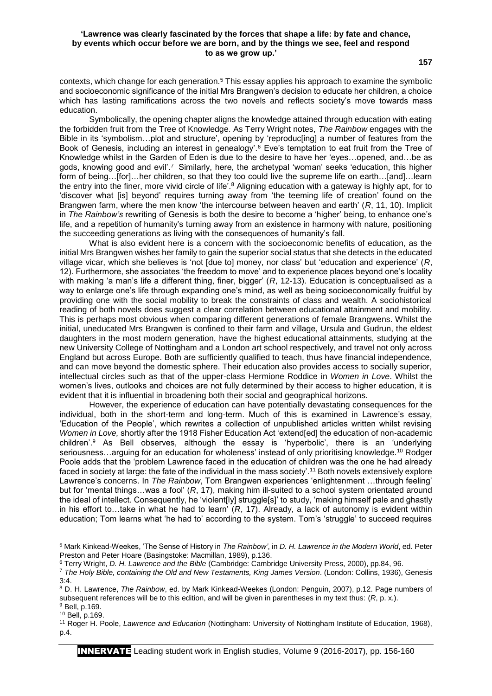### **'Lawrence was clearly fascinated by the forces that shape a life: by fate and chance, by events which occur before we are born, and by the things we see, feel and respond to as we grow up.'**

contexts, which change for each generation.<sup>5</sup> This essay applies his approach to examine the symbolic and socioeconomic significance of the initial Mrs Brangwen's decision to educate her children, a choice which has lasting ramifications across the two novels and reflects society's move towards mass education.

Symbolically, the opening chapter aligns the knowledge attained through education with eating the forbidden fruit from the Tree of Knowledge. As Terry Wright notes, *The Rainbow* engages with the Bible in its 'symbolism…plot and structure', opening by 'reproduc[ing] a number of features from the Book of Genesis, including an interest in genealogy'.<sup>6</sup> Eve's temptation to eat fruit from the Tree of Knowledge whilst in the Garden of Eden is due to the desire to have her 'eyes…opened, and…be as gods, knowing good and evil'.<sup>7</sup> Similarly, here, the archetypal 'woman' seeks 'education, this higher form of being…[for]…her children, so that they too could live the supreme life on earth…[and]…learn the entry into the finer, more vivid circle of life'.<sup>8</sup> Aligning education with a gateway is highly apt, for to 'discover what [is] beyond' requires turning away from 'the teeming life of creation' found on the Brangwen farm, where the men know 'the intercourse between heaven and earth' (*R*, 11, 10). Implicit in *The Rainbow's* rewriting of Genesis is both the desire to become a 'higher' being, to enhance one's life, and a repetition of humanity's turning away from an existence in harmony with nature, positioning the succeeding generations as living with the consequences of humanity's fall.

What is also evident here is a concern with the socioeconomic benefits of education, as the initial Mrs Brangwen wishes her family to gain the superior social status that she detects in the educated village vicar, which she believes is 'not [due to] money, nor class' but 'education and experience' (*R*, 12). Furthermore, she associates 'the freedom to move' and to experience places beyond one's locality with making 'a man's life a different thing, finer, bigger' (R, 12-13). Education is conceptualised as a way to enlarge one's life through expanding one's mind, as well as being socioeconomically fruitful by providing one with the social mobility to break the constraints of class and wealth. A sociohistorical reading of both novels does suggest a clear correlation between educational attainment and mobility. This is perhaps most obvious when comparing different generations of female Brangwens. Whilst the initial, uneducated Mrs Brangwen is confined to their farm and village, Ursula and Gudrun, the eldest daughters in the most modern generation, have the highest educational attainments, studying at the new University College of Nottingham and a London art school respectively, and travel not only across England but across Europe. Both are sufficiently qualified to teach, thus have financial independence, and can move beyond the domestic sphere. Their education also provides access to socially superior, intellectual circles such as that of the upper-class Hermione Roddice in *Women in Love*. Whilst the women's lives, outlooks and choices are not fully determined by their access to higher education, it is evident that it is influential in broadening both their social and geographical horizons.

However, the experience of education can have potentially devastating consequences for the individual, both in the short-term and long-term. Much of this is examined in Lawrence's essay, 'Education of the People', which rewrites a collection of unpublished articles written whilst revising *Women in Love,* shortly after the 1918 Fisher Education Act 'extend[ed] the education of non-academic children'.<sup>9</sup> As Bell observes, although the essay is 'hyperbolic', there is an 'underlying seriousness...arguing for an education for wholeness' instead of only prioritising knowledge.<sup>10</sup> Rodger Poole adds that the 'problem Lawrence faced in the education of children was the one he had already faced in society at large: the fate of the individual in the mass society'.<sup>11</sup> Both novels extensively explore Lawrence's concerns. In *The Rainbow*, Tom Brangwen experiences 'enlightenment …through feeling' but for 'mental things…was a fool' (*R*, 17), making him ill-suited to a school system orientated around the ideal of intellect. Consequently, he 'violent[ly] struggle[s]' to study, 'making himself pale and ghastly in his effort to…take in what he had to learn' (*R*, 17). Already, a lack of autonomy is evident within education; Tom learns what 'he had to' according to the system. Tom's 'struggle' to succeed requires

**.** 

<sup>5</sup> Mark Kinkead-Weekes, 'The Sense of History in *The Rainbow'*, in *D. H. Lawrence in the Modern World*, ed. Peter Preston and Peter Hoare (Basingstoke: Macmillan, 1989), p.136.

<sup>6</sup> Terry Wright, *D. H. Lawrence and the Bible* (Cambridge: Cambridge University Press, 2000), pp.84, 96.

<sup>7</sup> *The Holy Bible, containing the Old and New Testaments, King James Version*. (London: Collins, 1936), Genesis 3:4.

<sup>8</sup> D. H. Lawrence, *The Rainbow*, ed. by Mark Kinkead-Weekes (London: Penguin, 2007), p.12. Page numbers of subsequent references will be to this edition, and will be given in parentheses in my text thus: (*R*, p. x.). <sup>9</sup> Bell, p.169.

<sup>10</sup> Bell, p.169.

<sup>11</sup> Roger H. Poole, *Lawrence and Education* (Nottingham: University of Nottingham Institute of Education, 1968), p.4.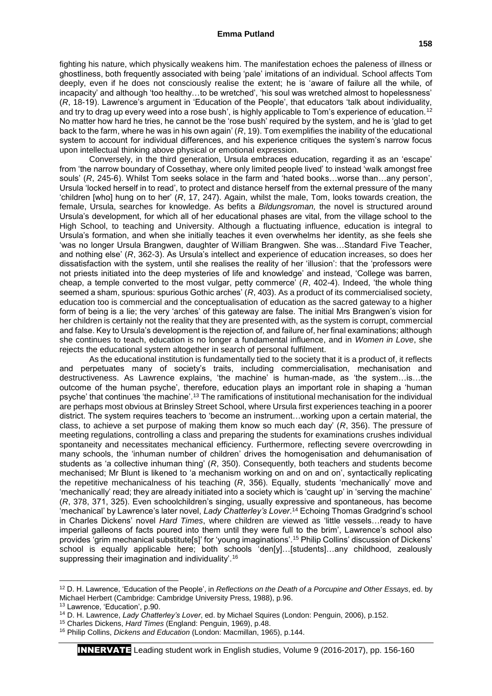## **Emma Putland**

fighting his nature, which physically weakens him. The manifestation echoes the paleness of illness or ghostliness, both frequently associated with being 'pale' imitations of an individual. School affects Tom deeply, even if he does not consciously realise the extent; he is 'aware of failure all the while, of incapacity' and although 'too healthy…to be wretched', 'his soul was wretched almost to hopelessness' (*R*, 18-19). Lawrence's argument in 'Education of the People', that educators 'talk about individuality, and try to drag up every weed into a rose bush', is highly applicable to Tom's experience of education.<sup>12</sup> No matter how hard he tries, he cannot be the 'rose bush' required by the system, and he is 'glad to get back to the farm, where he was in his own again' (*R*, 19). Tom exemplifies the inability of the educational system to account for individual differences, and his experience critiques the system's narrow focus upon intellectual thinking above physical or emotional expression.

Conversely, in the third generation, Ursula embraces education, regarding it as an 'escape' from 'the narrow boundary of Cossethay, where only limited people lived' to instead 'walk amongst free souls' (*R*, 245-6). Whilst Tom seeks solace in the farm and 'hated books…worse than…any person', Ursula 'locked herself in to read', to protect and distance herself from the external pressure of the many 'children [who] hung on to her' (*R*, 17, 247). Again, whilst the male, Tom, looks towards creation, the female, Ursula, searches for knowledge. As befits a *Bildungsroman,* the novel is structured around Ursula's development, for which all of her educational phases are vital, from the village school to the High School, to teaching and University. Although a fluctuating influence, education is integral to Ursula's formation, and when she initially teaches it even overwhelms her identity, as she feels she 'was no longer Ursula Brangwen, daughter of William Brangwen. She was…Standard Five Teacher, and nothing else' (*R*, 362-3). As Ursula's intellect and experience of education increases, so does her dissatisfaction with the system, until she realises the reality of her 'illusion': that the 'professors were not priests initiated into the deep mysteries of life and knowledge' and instead, 'College was barren, cheap, a temple converted to the most vulgar, petty commerce' (*R*, 402-4). Indeed, 'the whole thing seemed a sham, spurious: spurious Gothic arches' (*R*, 403). As a product of its commercialised society, education too is commercial and the conceptualisation of education as the sacred gateway to a higher form of being is a lie; the very 'arches' of this gateway are false. The initial Mrs Brangwen's vision for her children is certainly not the reality that they are presented with, as the system is corrupt, commercial and false. Key to Ursula's development is the rejection of, and failure of, her final examinations; although she continues to teach, education is no longer a fundamental influence, and in *Women in Love*, she rejects the educational system altogether in search of personal fulfilment.

As the educational institution is fundamentally tied to the society that it is a product of, it reflects and perpetuates many of society's traits, including commercialisation, mechanisation and destructiveness. As Lawrence explains, 'the machine' is human-made, as 'the system…is…the outcome of the human psyche', therefore, education plays an important role in shaping a 'human psyche' that continues 'the machine'.<sup>13</sup> The ramifications of institutional mechanisation for the individual are perhaps most obvious at Brinsley Street School, where Ursula first experiences teaching in a poorer district. The system requires teachers to 'become an instrument…working upon a certain material, the class, to achieve a set purpose of making them know so much each day' (*R*, 356). The pressure of meeting regulations, controlling a class and preparing the students for examinations crushes individual spontaneity and necessitates mechanical efficiency. Furthermore, reflecting severe overcrowding in many schools, the 'inhuman number of children' drives the homogenisation and dehumanisation of students as 'a collective inhuman thing' (*R*, 350). Consequently, both teachers and students become mechanised; Mr Blunt is likened to 'a mechanism working on and on and on', syntactically replicating the repetitive mechanicalness of his teaching (*R*, 356). Equally, students 'mechanically' move and 'mechanically' read; they are already initiated into a society which is 'caught up' in 'serving the machine' (*R*, 378, 371, 325). Even schoolchildren's singing, usually expressive and spontaneous, has become 'mechanical' by Lawrence's later novel, *Lady Chatterley's Lover*. <sup>14</sup> Echoing Thomas Gradgrind's school in Charles Dickens' novel *Hard Times*, where children are viewed as 'little vessels…ready to have imperial galleons of facts poured into them until they were full to the brim', Lawrence's school also provides 'grim mechanical substitute[s]' for 'young imaginations'.<sup>15</sup> Philip Collins' discussion of Dickens' school is equally applicable here; both schools 'den[y]...[students]...any childhood, zealously suppressing their imagination and individuality'.<sup>16</sup>

 $\overline{a}$ 

<sup>12</sup> D. H. Lawrence, 'Education of the People', in *Reflections on the Death of a Porcupine and Other Essays*, ed. by Michael Herbert (Cambridge: Cambridge University Press, 1988), p.96.

<sup>13</sup> Lawrence, 'Education', p.90.

<sup>14</sup> D. H. Lawrence, *Lady Chatterley's Lover*, ed. by Michael Squires (London: Penguin, 2006), p.152.

<sup>15</sup> Charles Dickens, *Hard Times* (England: Penguin, 1969), p.48.

<sup>16</sup> Philip Collins, *Dickens and Education* (London: Macmillan, 1965), p.144.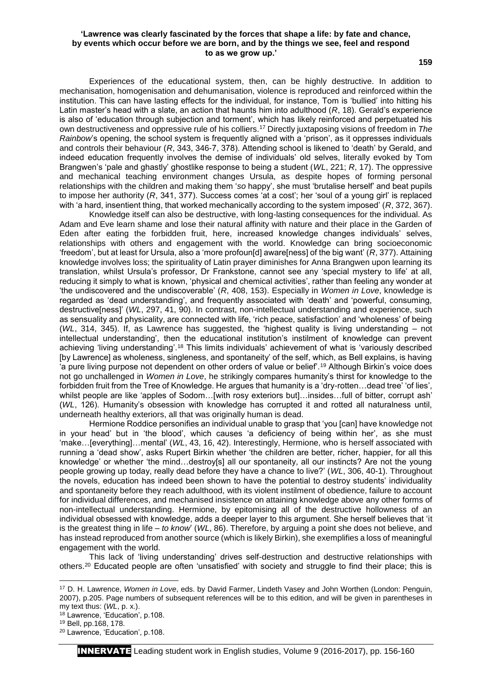### **'Lawrence was clearly fascinated by the forces that shape a life: by fate and chance, by events which occur before we are born, and by the things we see, feel and respond to as we grow up.'**

**159**

Experiences of the educational system, then, can be highly destructive. In addition to mechanisation, homogenisation and dehumanisation, violence is reproduced and reinforced within the institution. This can have lasting effects for the individual, for instance, Tom is 'bullied' into hitting his Latin master's head with a slate, an action that haunts him into adulthood (*R*, 18). Gerald's experience is also of 'education through subjection and torment', which has likely reinforced and perpetuated his own destructiveness and oppressive rule of his colliers.<sup>17</sup> Directly juxtaposing visions of freedom in *The Rainbow's opening, the school system is frequently aligned with a 'prison', as it oppresses individuals* and controls their behaviour (*R*, 343, 346-7, 378). Attending school is likened to 'death' by Gerald, and indeed education frequently involves the demise of individuals' old selves, literally evoked by Tom Brangwen's 'pale and ghastly' ghostlike response to being a student (*WL*, 221; *R*, 17). The oppressive and mechanical teaching environment changes Ursula, as despite hopes of forming personal relationships with the children and making them '*so* happy', she must 'brutalise herself' and beat pupils to impose her authority (*R*, 341, 377). Success comes 'at a cost'; her 'soul of a young girl' is replaced with 'a hard, insentient thing, that worked mechanically according to the system imposed' (*R*, 372, 367).

Knowledge itself can also be destructive, with long-lasting consequences for the individual. As Adam and Eve learn shame and lose their natural affinity with nature and their place in the Garden of Eden after eating the forbidden fruit, here, increased knowledge changes individuals' selves, relationships with others and engagement with the world. Knowledge can bring socioeconomic 'freedom', but at least for Ursula, also a 'more profoun[d] aware[ness] of the big want' (*R*, 377). Attaining knowledge involves loss; the spirituality of Latin prayer diminishes for Anna Brangwen upon learning its translation, whilst Ursula's professor, Dr Frankstone, cannot see any 'special mystery to life' at all, reducing it simply to what is known, 'physical and chemical activities', rather than feeling any wonder at 'the undiscovered and the undiscoverable' (*R*, 408, 153). Especially in *Women in Love*, knowledge is regarded as 'dead understanding', and frequently associated with 'death' and 'powerful, consuming, destructive[ness]' (*WL*, 297, 41, 90). In contrast, non-intellectual understanding and experience, such as sensuality and physicality, are connected with life, 'rich peace, satisfaction' and 'wholeness' of being (*WL*, 314, 345). If, as Lawrence has suggested, the 'highest quality is living understanding – not intellectual understanding', then the educational institution's instilment of knowledge can prevent achieving 'living understanding'.<sup>18</sup> This limits individuals' achievement of what is 'variously described [by Lawrence] as wholeness, singleness, and spontaneity' of the self, which, as Bell explains, is having 'a pure living purpose not dependent on other orders of value or belief'.<sup>19</sup> Although Birkin's voice does not go unchallenged in *Women in Love*, he strikingly compares humanity's thirst for knowledge to the forbidden fruit from the Tree of Knowledge. He argues that humanity is a 'dry-rotten…dead tree' 'of lies', whilst people are like 'apples of Sodom…[with rosy exteriors but]…insides…full of bitter, corrupt ash' (*WL*, 126). Humanity's obsession with knowledge has corrupted it and rotted all naturalness until, underneath healthy exteriors, all that was originally human is dead.

Hermione Roddice personifies an individual unable to grasp that 'you [can] have knowledge not in your head' but in 'the blood', which causes 'a deficiency of being within her', as she must 'make…[everything]…mental' (*WL*, 43, 16, 42). Interestingly, Hermione, who is herself associated with running a 'dead show', asks Rupert Birkin whether 'the children are better, richer, happier, for all this knowledge' or whether 'the mind…destroy[s] all our spontaneity, all our instincts? Are not the young people growing up today, really dead before they have a chance to live?' (*WL*, 306, 40-1). Throughout the novels, education has indeed been shown to have the potential to destroy students' individuality and spontaneity before they reach adulthood, with its violent instilment of obedience, failure to account for individual differences, and mechanised insistence on attaining knowledge above any other forms of non-intellectual understanding. Hermione, by epitomising all of the destructive hollowness of an individual obsessed with knowledge, adds a deeper layer to this argument. She herself believes that 'it is the greatest thing in life – *to know*' (*WL*, 86). Therefore, by arguing a point she does not believe, and has instead reproduced from another source (which is likely Birkin), she exemplifies a loss of meaningful engagement with the world.

This lack of 'living understanding' drives self-destruction and destructive relationships with others.<sup>20</sup> Educated people are often 'unsatisfied' with society and struggle to find their place; this is

 $\overline{a}$ 

INNERVATE Leading student work in English studies, Volume 9 (2016-2017), pp. 156-160

<sup>17</sup> D. H. Lawrence, *Women in Love*, eds. by David Farmer, Lindeth Vasey and John Worthen (London: Penguin, 2007), p.205. Page numbers of subsequent references will be to this edition, and will be given in parentheses in my text thus: (*WL*, p. x.).

<sup>18</sup> Lawrence, 'Education', p.108.

<sup>19</sup> Bell, pp.168, 178.

<sup>20</sup> Lawrence, 'Education', p.108.